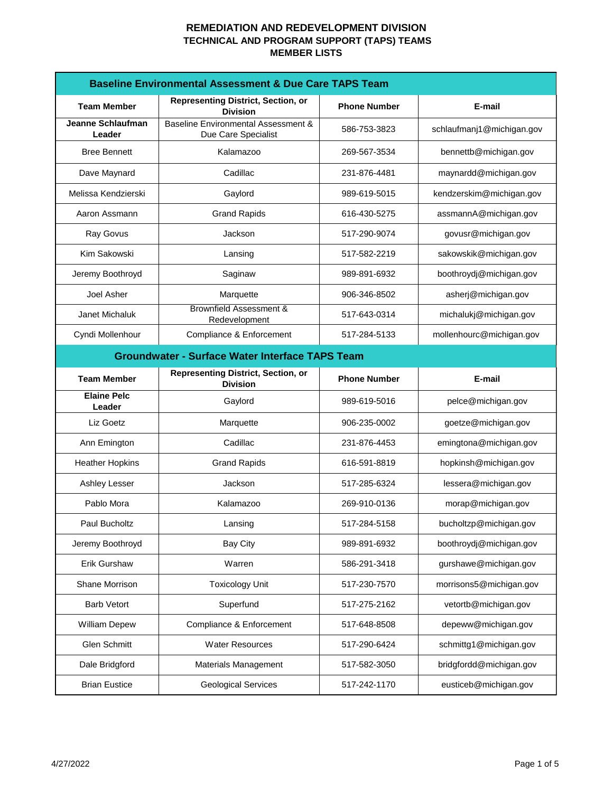| <b>Baseline Environmental Assessment &amp; Due Care TAPS Team</b> |                                                                       |                     |                           |
|-------------------------------------------------------------------|-----------------------------------------------------------------------|---------------------|---------------------------|
| <b>Team Member</b>                                                | <b>Representing District, Section, or</b><br><b>Division</b>          | <b>Phone Number</b> | E-mail                    |
| Jeanne Schlaufman<br>Leader                                       | <b>Baseline Environmental Assessment &amp;</b><br>Due Care Specialist | 586-753-3823        | schlaufmanj1@michigan.gov |
| <b>Bree Bennett</b>                                               | Kalamazoo                                                             | 269-567-3534        | bennettb@michigan.gov     |
| Dave Maynard                                                      | Cadillac                                                              | 231-876-4481        | maynardd@michigan.gov     |
| Melissa Kendzierski                                               | Gaylord                                                               | 989-619-5015        | kendzerskim@michigan.gov  |
| Aaron Assmann                                                     | <b>Grand Rapids</b>                                                   | 616-430-5275        | assmannA@michigan.gov     |
| Ray Govus                                                         | Jackson                                                               | 517-290-9074        | govusr@michigan.gov       |
| Kim Sakowski                                                      | Lansing                                                               | 517-582-2219        | sakowskik@michigan.gov    |
| Jeremy Boothroyd                                                  | Saginaw                                                               | 989-891-6932        | boothroydj@michigan.gov   |
| Joel Asher                                                        | Marquette                                                             | 906-346-8502        | asherj@michigan.gov       |
| Janet Michaluk                                                    | Brownfield Assessment &<br>Redevelopment                              | 517-643-0314        | michalukj@michigan.gov    |
| Cyndi Mollenhour                                                  | Compliance & Enforcement                                              | 517-284-5133        | mollenhourc@michigan.gov  |
| <b>Groundwater - Surface Water Interface TAPS Team</b>            |                                                                       |                     |                           |
| <b>Team Member</b>                                                | <b>Representing District, Section, or</b><br><b>Division</b>          | <b>Phone Number</b> | E-mail                    |
| <b>Elaine Pelc</b><br>Leader                                      | Gaylord                                                               | 989-619-5016        | pelce@michigan.gov        |
| Liz Goetz                                                         | Marquette                                                             | 906-235-0002        | goetze@michigan.gov       |
| Ann Emington                                                      | Cadillac                                                              | 231-876-4453        | emingtona@michigan.gov    |
| <b>Heather Hopkins</b>                                            | <b>Grand Rapids</b>                                                   | 616-591-8819        | hopkinsh@michigan.gov     |
| Ashley Lesser                                                     | Jackson                                                               | 517-285-6324        | lessera@michigan.gov      |
| Pablo Mora                                                        | Kalamazoo                                                             | 269-910-0136        | morap@michigan.gov        |
| Paul Bucholtz                                                     | Lansing                                                               | 517-284-5158        | bucholtzp@michigan.gov    |
| Jeremy Boothroyd                                                  | <b>Bay City</b>                                                       | 989-891-6932        | boothroydj@michigan.gov   |
| Erik Gurshaw                                                      | Warren                                                                | 586-291-3418        | gurshawe@michigan.gov     |
| Shane Morrison                                                    | <b>Toxicology Unit</b>                                                | 517-230-7570        | morrisons5@michigan.gov   |
| <b>Barb Vetort</b>                                                | Superfund                                                             | 517-275-2162        | vetortb@michigan.gov      |
| <b>William Depew</b>                                              | Compliance & Enforcement                                              | 517-648-8508        | depeww@michigan.gov       |
| <b>Glen Schmitt</b>                                               | <b>Water Resources</b>                                                | 517-290-6424        | schmittg1@michigan.gov    |
| Dale Bridgford                                                    | Materials Management                                                  | 517-582-3050        | bridgfordd@michigan.gov   |
| <b>Brian Eustice</b>                                              | <b>Geological Services</b>                                            | 517-242-1170        | eusticeb@michigan.gov     |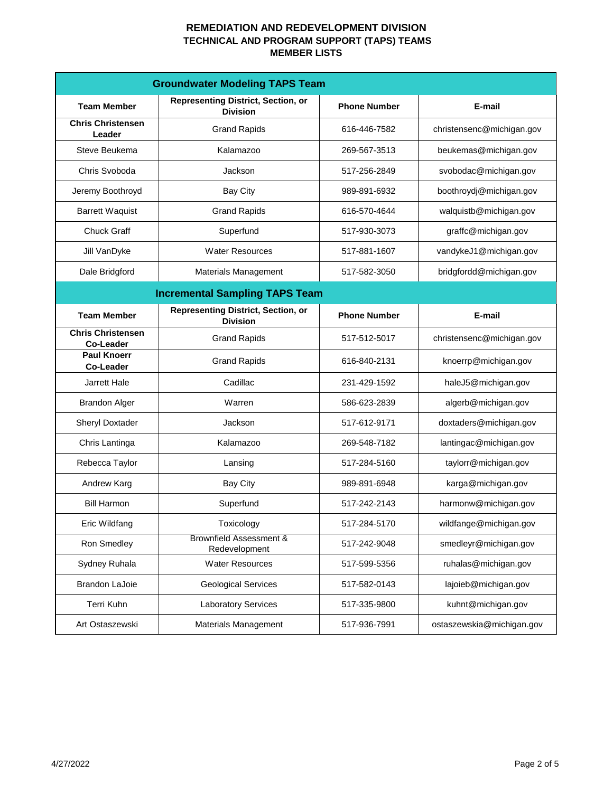|                                        | <b>Groundwater Modeling TAPS Team</b>                        |                     |                           |
|----------------------------------------|--------------------------------------------------------------|---------------------|---------------------------|
| <b>Team Member</b>                     | <b>Representing District, Section, or</b><br><b>Division</b> | <b>Phone Number</b> | E-mail                    |
| <b>Chris Christensen</b><br>Leader     | <b>Grand Rapids</b>                                          | 616-446-7582        | christensenc@michigan.gov |
| Steve Beukema                          | Kalamazoo                                                    | 269-567-3513        | beukemas@michigan.gov     |
| Chris Svoboda                          | Jackson                                                      | 517-256-2849        | svobodac@michigan.gov     |
| Jeremy Boothroyd                       | <b>Bay City</b>                                              | 989-891-6932        | boothroydj@michigan.gov   |
| <b>Barrett Waquist</b>                 | <b>Grand Rapids</b>                                          | 616-570-4644        | walquistb@michigan.gov    |
| <b>Chuck Graff</b>                     | Superfund                                                    | 517-930-3073        | graffc@michigan.gov       |
| Jill VanDyke                           | <b>Water Resources</b>                                       | 517-881-1607        | vandykeJ1@michigan.gov    |
| Dale Bridgford                         | <b>Materials Management</b>                                  | 517-582-3050        | bridgfordd@michigan.gov   |
| <b>Incremental Sampling TAPS Team</b>  |                                                              |                     |                           |
| <b>Team Member</b>                     | <b>Representing District, Section, or</b><br><b>Division</b> | <b>Phone Number</b> | E-mail                    |
| <b>Chris Christensen</b><br>Co-Leader  | <b>Grand Rapids</b>                                          | 517-512-5017        | christensenc@michigan.gov |
| <b>Paul Knoerr</b><br><b>Co-Leader</b> | <b>Grand Rapids</b>                                          | 616-840-2131        | knoerrp@michigan.gov      |
| Jarrett Hale                           | Cadillac                                                     | 231-429-1592        | haleJ5@michigan.gov       |
| <b>Brandon Alger</b>                   | Warren                                                       | 586-623-2839        | algerb@michigan.gov       |
| <b>Sheryl Doxtader</b>                 | Jackson                                                      | 517-612-9171        | doxtaders@michigan.gov    |
| Chris Lantinga                         | Kalamazoo                                                    | 269-548-7182        | lantingac@michigan.gov    |
| Rebecca Taylor                         | Lansing                                                      | 517-284-5160        | taylorr@michigan.gov      |
| Andrew Karg                            | <b>Bay City</b>                                              | 989-891-6948        | karga@michigan.gov        |
| <b>Bill Harmon</b>                     | Superfund                                                    | 517-242-2143        | harmonw@michigan.gov      |
| Eric Wildfang                          | Toxicology                                                   | 517-284-5170        | wildfange@michigan.gov    |
| Ron Smedley                            | <b>Brownfield Assessment &amp;</b><br>Redevelopment          | 517-242-9048        | smedleyr@michigan.gov     |
| Sydney Ruhala                          | <b>Water Resources</b>                                       | 517-599-5356        | ruhalas@michigan.gov      |
| <b>Brandon LaJoie</b>                  | <b>Geological Services</b>                                   | 517-582-0143        | lajoieb@michigan.gov      |
| Terri Kuhn                             | <b>Laboratory Services</b>                                   | 517-335-9800        | kuhnt@michigan.gov        |
| Art Ostaszewski                        | <b>Materials Management</b>                                  | 517-936-7991        | ostaszewskia@michigan.gov |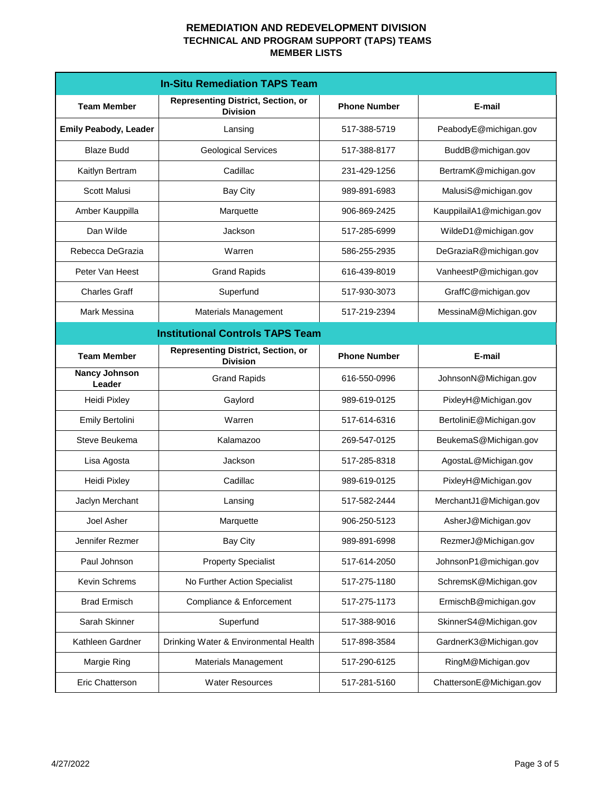|                                         | <b>In-Situ Remediation TAPS Team</b>                         |                     |                           |
|-----------------------------------------|--------------------------------------------------------------|---------------------|---------------------------|
| <b>Team Member</b>                      | <b>Representing District, Section, or</b><br><b>Division</b> | <b>Phone Number</b> | E-mail                    |
| <b>Emily Peabody, Leader</b>            | Lansing                                                      | 517-388-5719        | PeabodyE@michigan.gov     |
| <b>Blaze Budd</b>                       | <b>Geological Services</b>                                   | 517-388-8177        | BuddB@michigan.gov        |
| Kaitlyn Bertram                         | Cadillac                                                     | 231-429-1256        | BertramK@michigan.gov     |
| <b>Scott Malusi</b>                     | <b>Bay City</b>                                              | 989-891-6983        | MalusiS@michigan.gov      |
| Amber Kauppilla                         | Marquette                                                    | 906-869-2425        | KauppilailA1@michigan.gov |
| Dan Wilde                               | Jackson                                                      | 517-285-6999        | WildeD1@michigan.gov      |
| Rebecca DeGrazia                        | Warren                                                       | 586-255-2935        | DeGraziaR@michigan.gov    |
| Peter Van Heest                         | <b>Grand Rapids</b>                                          | 616-439-8019        | VanheestP@michigan.gov    |
| <b>Charles Graff</b>                    | Superfund                                                    | 517-930-3073        | GraffC@michigan.gov       |
| <b>Mark Messina</b>                     | Materials Management                                         | 517-219-2394        | MessinaM@Michigan.gov     |
| <b>Institutional Controls TAPS Team</b> |                                                              |                     |                           |
| <b>Team Member</b>                      | <b>Representing District, Section, or</b><br><b>Division</b> | <b>Phone Number</b> | E-mail                    |
| <b>Nancy Johnson</b><br>Leader          | <b>Grand Rapids</b>                                          | 616-550-0996        | JohnsonN@Michigan.gov     |
| Heidi Pixley                            | Gaylord                                                      | 989-619-0125        | PixleyH@Michigan.gov      |
| Emily Bertolini                         | Warren                                                       | 517-614-6316        | BertoliniE@Michigan.gov   |
| Steve Beukema                           | Kalamazoo                                                    | 269-547-0125        | BeukemaS@Michigan.gov     |
| Lisa Agosta                             | Jackson                                                      | 517-285-8318        | AgostaL@Michigan.gov      |
| Heidi Pixley                            | Cadillac                                                     | 989-619-0125        | PixleyH@Michigan.gov      |
| Jaclyn Merchant                         | Lansing                                                      | 517-582-2444        | MerchantJ1@Michigan.gov   |
| Joel Asher                              | Marquette                                                    | 906-250-5123        | AsherJ@Michigan.gov       |
| Jennifer Rezmer                         | <b>Bay City</b>                                              | 989-891-6998        | RezmerJ@Michigan.gov      |
| Paul Johnson                            | <b>Property Specialist</b>                                   | 517-614-2050        | JohnsonP1@michigan.gov    |
| Kevin Schrems                           | No Further Action Specialist                                 | 517-275-1180        | SchremsK@Michigan.gov     |
| <b>Brad Ermisch</b>                     | Compliance & Enforcement                                     | 517-275-1173        | ErmischB@michigan.gov     |
| Sarah Skinner                           | Superfund                                                    | 517-388-9016        | SkinnerS4@Michigan.gov    |
| Kathleen Gardner                        | Drinking Water & Environmental Health                        | 517-898-3584        | GardnerK3@Michigan.gov    |
| Margie Ring                             | Materials Management                                         | 517-290-6125        | RingM@Michigan.gov        |
| <b>Eric Chatterson</b>                  | <b>Water Resources</b>                                       | 517-281-5160        | ChattersonE@Michigan.gov  |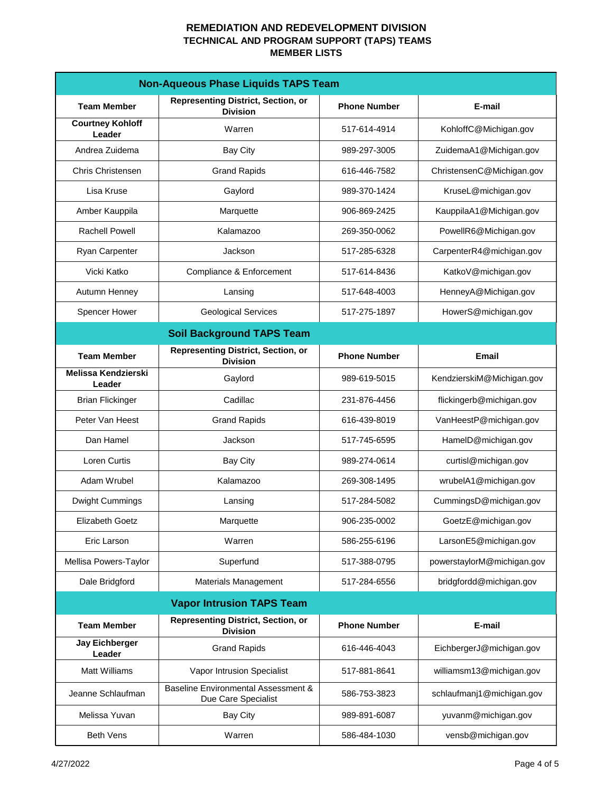| <b>Non-Aqueous Phase Liquids TAPS Team</b> |                                                                       |                     |                            |
|--------------------------------------------|-----------------------------------------------------------------------|---------------------|----------------------------|
| <b>Team Member</b>                         | <b>Representing District, Section, or</b><br><b>Division</b>          | <b>Phone Number</b> | E-mail                     |
| <b>Courtney Kohloff</b><br>Leader          | Warren                                                                | 517-614-4914        | KohloffC@Michigan.gov      |
| Andrea Zuidema                             | <b>Bay City</b>                                                       | 989-297-3005        | ZuidemaA1@Michigan.gov     |
| <b>Chris Christensen</b>                   | <b>Grand Rapids</b>                                                   | 616-446-7582        | ChristensenC@Michigan.gov  |
| Lisa Kruse                                 | Gaylord                                                               | 989-370-1424        | KruseL@michigan.gov        |
| Amber Kauppila                             | Marquette                                                             | 906-869-2425        | KauppilaA1@Michigan.gov    |
| <b>Rachell Powell</b>                      | Kalamazoo                                                             | 269-350-0062        | PowellR6@Michigan.gov      |
| Ryan Carpenter                             | Jackson                                                               | 517-285-6328        | CarpenterR4@michigan.gov   |
| Vicki Katko                                | Compliance & Enforcement                                              | 517-614-8436        | KatkoV@michigan.gov        |
| Autumn Henney                              | Lansing                                                               | 517-648-4003        | HenneyA@Michigan.gov       |
| <b>Spencer Hower</b>                       | <b>Geological Services</b>                                            | 517-275-1897        | HowerS@michigan.gov        |
|                                            | <b>Soil Background TAPS Team</b>                                      |                     |                            |
| <b>Team Member</b>                         | <b>Representing District, Section, or</b><br><b>Division</b>          | <b>Phone Number</b> | <b>Email</b>               |
| <b>Melissa Kendzierski</b><br>Leader       | Gaylord                                                               | 989-619-5015        | KendzierskiM@Michigan.gov  |
| <b>Brian Flickinger</b>                    | Cadillac                                                              | 231-876-4456        | flickingerb@michigan.gov   |
| Peter Van Heest                            | <b>Grand Rapids</b>                                                   | 616-439-8019        | VanHeestP@michigan.gov     |
| Dan Hamel                                  | Jackson                                                               | 517-745-6595        | HamelD@michigan.gov        |
| Loren Curtis                               | <b>Bay City</b>                                                       | 989-274-0614        | curtisl@michigan.gov       |
| Adam Wrubel                                | Kalamazoo                                                             | 269-308-1495        | wrubelA1@michigan.gov      |
| Dwight Cummings                            | Lansing                                                               | 517-284-5082        | CummingsD@michigan.gov     |
| <b>Elizabeth Goetz</b>                     | Marquette                                                             | 906-235-0002        | GoetzE@michigan.gov        |
| Eric Larson                                | Warren                                                                | 586-255-6196        | LarsonE5@michigan.gov      |
| Mellisa Powers-Taylor                      | Superfund                                                             | 517-388-0795        | powerstaylorM@michigan.gov |
| Dale Bridgford                             | <b>Materials Management</b>                                           | 517-284-6556        | bridgfordd@michigan.gov    |
| <b>Vapor Intrusion TAPS Team</b>           |                                                                       |                     |                            |
| <b>Team Member</b>                         | <b>Representing District, Section, or</b><br><b>Division</b>          | <b>Phone Number</b> | E-mail                     |
| <b>Jay Eichberger</b><br>Leader            | <b>Grand Rapids</b>                                                   | 616-446-4043        | EichbergerJ@michigan.gov   |
| Matt Williams                              | Vapor Intrusion Specialist                                            | 517-881-8641        | williamsm13@michigan.gov   |
| Jeanne Schlaufman                          | <b>Baseline Environmental Assessment &amp;</b><br>Due Care Specialist | 586-753-3823        | schlaufmanj1@michigan.gov  |
| Melissa Yuvan                              | <b>Bay City</b>                                                       | 989-891-6087        | yuvanm@michigan.gov        |
| <b>Beth Vens</b>                           | Warren                                                                | 586-484-1030        | vensb@michigan.gov         |